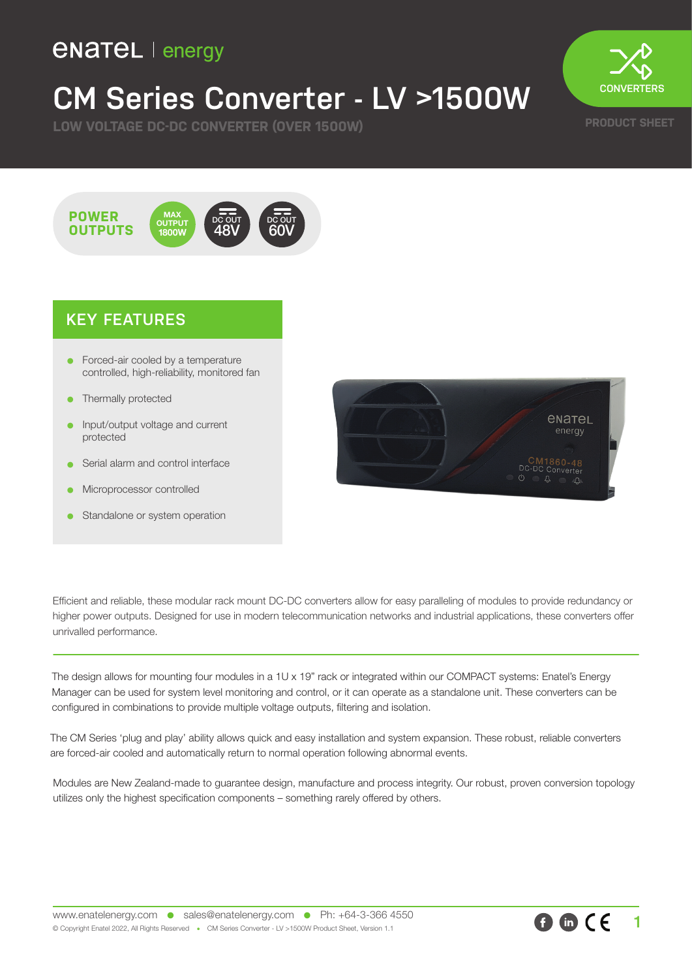### **ENATEL** | energy

## **CM Series Converter - LV >1500W**

**LOW VOLTAGE DC-DC CONVERTER (OVER 1500W)**



**PRODUCT SHEET**



#### **KEY FEATURES**

- Forced-air cooled by a temperature controlled, high-reliability, monitored fan
- Thermally protected
- Input/output voltage and current protected
- Serial alarm and control interface
- Microprocessor controlled
- Standalone or system operation



Efficient and reliable, these modular rack mount DC-DC converters allow for easy paralleling of modules to provide redundancy or higher power outputs. Designed for use in modern telecommunication networks and industrial applications, these converters offer unrivalled performance.

The design allows for mounting four modules in a 1U x 19" rack or integrated within our COMPACT systems: Enatel's Energy Manager can be used for system level monitoring and control, or it can operate as a standalone unit. These converters can be configured in combinations to provide multiple voltage outputs, filtering and isolation.

The CM Series 'plug and play' ability allows quick and easy installation and system expansion. These robust, reliable converters are forced-air cooled and automatically return to normal operation following abnormal events.

Modules are New Zealand-made to guarantee design, manufacture and process integrity. Our robust, proven conversion topology utilizes only the highest specification components – something rarely offered by others.